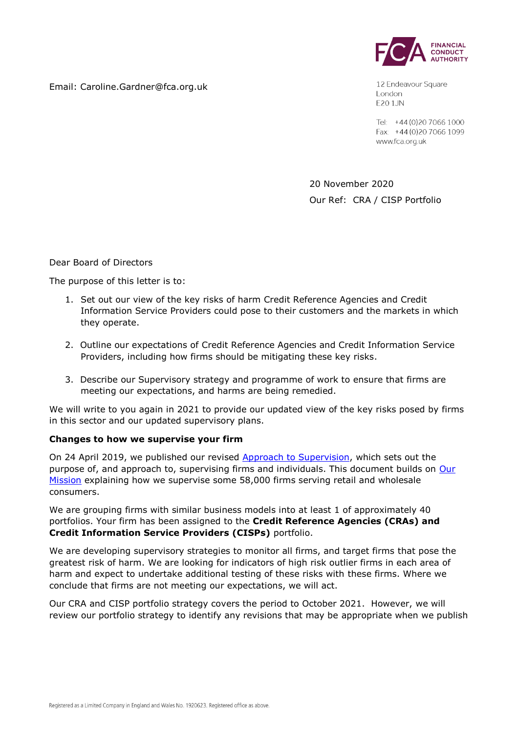



12 Endeavour Square London **E20 1JN** 

Tel: +44 (0) 20 7066 1000 Fax: +44 (0) 20 7066 1099 www.fca.org.uk

20 November 2020 Our Ref: CRA / CISP Portfolio

Dear Board of Directors

The purpose of this letter is to:

- 1. Set out our view of the key risks of harm Credit Reference Agencies and Credit Information Service Providers could pose to their customers and the markets in which they operate.
- 2. Outline our expectations of Credit Reference Agencies and Credit Information Service Providers, including how firms should be mitigating these key risks.
- 3. Describe our Supervisory strategy and programme of work to ensure that firms are meeting our expectations, and harms are being remedied.

We will write to you again in 2021 to provide our updated view of the key risks posed by firms in this sector and our updated supervisory plans.

# **Changes to how we supervise your firm**

On 24 April 2019, we published our revised [Approach to Supervision,](https://www.fca.org.uk/publications/corporate-documents/our-approach-supervision) which sets out the purpose of, and approach to, supervising firms and individuals. This document builds on Our [Mission](https://www.fca.org.uk/publications/corporate-documents/our-mission) explaining how we supervise some 58,000 firms serving retail and wholesale consumers.

We are grouping firms with similar business models into at least 1 of approximately 40 portfolios. Your firm has been assigned to the **Credit Reference Agencies (CRAs) and Credit Information Service Providers (CISPs)** portfolio.

We are developing supervisory strategies to monitor all firms, and target firms that pose the greatest risk of harm. We are looking for indicators of high risk outlier firms in each area of harm and expect to undertake additional testing of these risks with these firms. Where we conclude that firms are not meeting our expectations, we will act.

Our CRA and CISP portfolio strategy covers the period to October 2021. However, we will review our portfolio strategy to identify any revisions that may be appropriate when we publish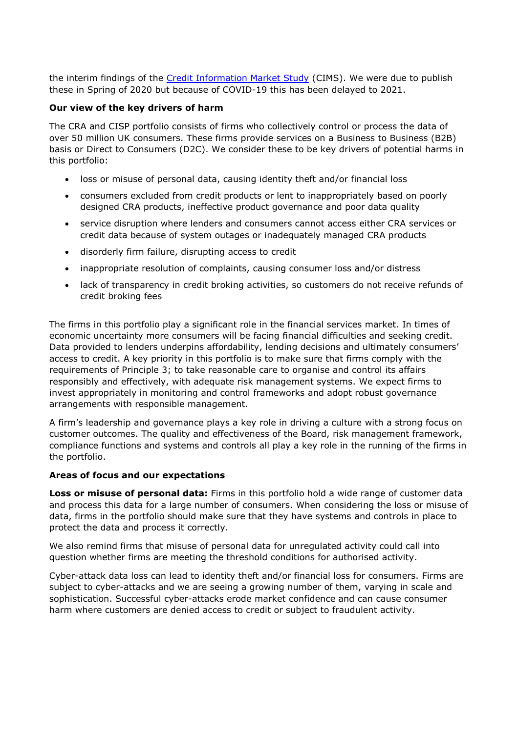the interim findings of the [Credit Information Market Study](https://www.fca.org.uk/information-firms-coronavirus/delayed-activities) (CIMS). We were due to publish these in Spring of 2020 but because of COVID-19 this has been delayed to 2021.

#### **Our view of the key drivers of harm**

The CRA and CISP portfolio consists of firms who collectively control or process the data of over 50 million UK consumers. These firms provide services on a Business to Business (B2B) basis or Direct to Consumers (D2C). We consider these to be key drivers of potential harms in this portfolio:

- loss or misuse of personal data, causing identity theft and/or financial loss
- consumers excluded from credit products or lent to inappropriately based on poorly designed CRA products, ineffective product governance and poor data quality
- service disruption where lenders and consumers cannot access either CRA services or credit data because of system outages or inadequately managed CRA products
- disorderly firm failure, disrupting access to credit
- inappropriate resolution of complaints, causing consumer loss and/or distress
- lack of transparency in credit broking activities, so customers do not receive refunds of credit broking fees

The firms in this portfolio play a significant role in the financial services market. In times of economic uncertainty more consumers will be facing financial difficulties and seeking credit. Data provided to lenders underpins affordability, lending decisions and ultimately consumers' access to credit. A key priority in this portfolio is to make sure that firms comply with the requirements of Principle 3; to take reasonable care to organise and control its affairs responsibly and effectively, with adequate risk management systems. We expect firms to invest appropriately in monitoring and control frameworks and adopt robust governance arrangements with responsible management.

A firm's leadership and governance plays a key role in driving a culture with a strong focus on customer outcomes. The quality and effectiveness of the Board, risk management framework, compliance functions and systems and controls all play a key role in the running of the firms in the portfolio.

#### **Areas of focus and our expectations**

**Loss or misuse of personal data:** Firms in this portfolio hold a wide range of customer data and process this data for a large number of consumers. When considering the loss or misuse of data, firms in the portfolio should make sure that they have systems and controls in place to protect the data and process it correctly.

We also remind firms that misuse of personal data for unregulated activity could call into question whether firms are meeting the threshold conditions for authorised activity.

Cyber-attack data loss can lead to identity theft and/or financial loss for consumers. Firms are subject to cyber-attacks and we are seeing a growing number of them, varying in scale and sophistication. Successful cyber-attacks erode market confidence and can cause consumer harm where customers are denied access to credit or subject to fraudulent activity.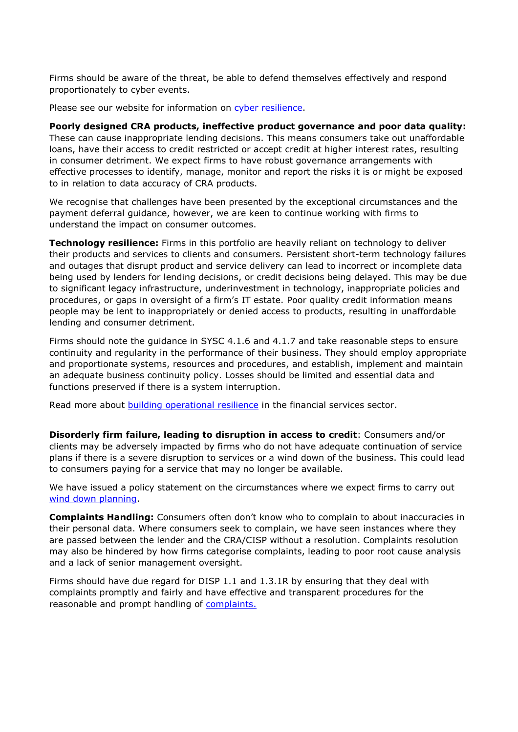Firms should be aware of the threat, be able to defend themselves effectively and respond proportionately to cyber events.

Please see our website for information on [cyber resilience.](https://www.fca.org.uk/firms/cyber-resilience)

#### **Poorly designed CRA products, ineffective product governance and poor data quality:**

These can cause inappropriate lending decisions. This means consumers take out unaffordable loans, have their access to credit restricted or accept credit at higher interest rates, resulting in consumer detriment. We expect firms to have robust governance arrangements with effective processes to identify, manage, monitor and report the risks it is or might be exposed to in relation to data accuracy of CRA products.

We recognise that challenges have been presented by the exceptional circumstances and the payment deferral guidance, however, we are keen to continue working with firms to understand the impact on consumer outcomes.

**Technology resilience:** Firms in this portfolio are heavily reliant on technology to deliver their products and services to clients and consumers. Persistent short-term technology failures and outages that disrupt product and service delivery can lead to incorrect or incomplete data being used by lenders for lending decisions, or credit decisions being delayed. This may be due to significant legacy infrastructure, underinvestment in technology, inappropriate policies and procedures, or gaps in oversight of a firm's IT estate. Poor quality credit information means people may be lent to inappropriately or denied access to products, resulting in unaffordable lending and consumer detriment.

Firms should note the guidance in SYSC 4.1.6 and 4.1.7 and take reasonable steps to ensure continuity and regularity in the performance of their business. They should employ appropriate and proportionate systems, resources and procedures, and establish, implement and maintain an adequate business continuity policy. Losses should be limited and essential data and functions preserved if there is a system interruption.

Read more about [building operational resilience](https://www.fca.org.uk/news/press-releases/building-operational-resilience-impact-tolerances-important-business-services) in the financial services sector.

**Disorderly firm failure, leading to disruption in access to credit**: Consumers and/or clients may be adversely impacted by firms who do not have adequate continuation of service plans if there is a severe disruption to services or a wind down of the business. This could lead to consumers paying for a service that may no longer be available.

We have issued a policy statement on the circumstances where we expect firms to carry out [wind down planning.](https://www.handbook.fca.org.uk/handbook/WDPG.pdf)

**Complaints Handling:** Consumers often don't know who to complain to about inaccuracies in their personal data. Where consumers seek to complain, we have seen instances where they are passed between the lender and the CRA/CISP without a resolution. Complaints resolution may also be hindered by how firms categorise complaints, leading to poor root cause analysis and a lack of senior management oversight.

Firms should have due regard for DISP 1.1 and 1.3.1R by ensuring that they deal with complaints promptly and fairly and have effective and transparent procedures for the reasonable and prompt handling of [complaints.](https://www.handbook.fca.org.uk/handbook/glossary/G197.html)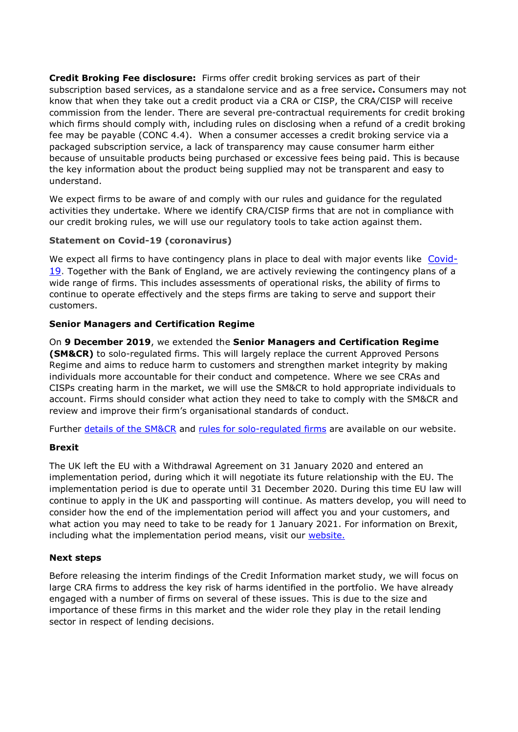**Credit Broking Fee disclosure:** Firms offer credit broking services as part of their subscription based services, as a standalone service and as a free service**.** Consumers may not know that when they take out a credit product via a CRA or CISP, the CRA/CISP will receive commission from the lender. There are several pre-contractual requirements for credit broking which firms should comply with, including rules on disclosing when a refund of a credit broking fee may be payable (CONC 4.4). When a consumer accesses a credit broking service via a packaged subscription service, a lack of transparency may cause consumer harm either because of unsuitable products being purchased or excessive fees being paid. This is because the key information about the product being supplied may not be transparent and easy to understand.

We expect firms to be aware of and comply with our rules and guidance for the regulated activities they undertake. Where we identify CRA/CISP firms that are not in compliance with our credit broking rules, we will use our regulatory tools to take action against them.

# **Statement on Covid-19 (coronavirus)**

We expect all firms to have contingency plans in place to deal with major events like [Covid-](https://www.fca.org.uk/news/statements/covid-19-coronavirus)[19.](https://www.fca.org.uk/news/statements/covid-19-coronavirus) Together with the Bank of England, we are actively reviewing the contingency plans of a wide range of firms. This includes assessments of operational risks, the ability of firms to continue to operate effectively and the steps firms are taking to serve and support their customers.

#### **Senior Managers and Certification Regime**

On **9 December 2019**, we extended the **Senior Managers and Certification Regime (SM&CR)** to solo-regulated firms. This will largely replace the current Approved Persons Regime and aims to reduce harm to customers and strengthen market integrity by making individuals more accountable for their conduct and competence. Where we see CRAs and CISPs creating harm in the market, we will use the SM&CR to hold appropriate individuals to account. Firms should consider what action they need to take to comply with the SM&CR and review and improve their firm's organisational standards of conduct.

Further [details of the SM&CR](https://www.fca.org.uk/publications/policy-statements/ps19-20-optimising-senior-managers-certification-regime-and-feedback-cp19-4) and [rules for solo-regulated firms](https://www.fca.org.uk/publication/policy/guide-for-fca-solo-regulated-firms.pdf) are available on our website.

# **Brexit**

The UK left the EU with a Withdrawal Agreement on 31 January 2020 and entered an implementation period, during which it will negotiate its future relationship with the EU. The implementation period is due to operate until 31 December 2020. During this time EU law will continue to apply in the UK and passporting will continue. As matters develop, you will need to consider how the end of the implementation period will affect you and your customers, and what action you may need to take to be ready for 1 January 2021. For information on Brexit, including what the implementation period means, visit our [website.](https://www.fca.org.uk/brexit)

# **Next steps**

Before releasing the interim findings of the Credit Information market study, we will focus on large CRA firms to address the key risk of harms identified in the portfolio. We have already engaged with a number of firms on several of these issues. This is due to the size and importance of these firms in this market and the wider role they play in the retail lending sector in respect of lending decisions.